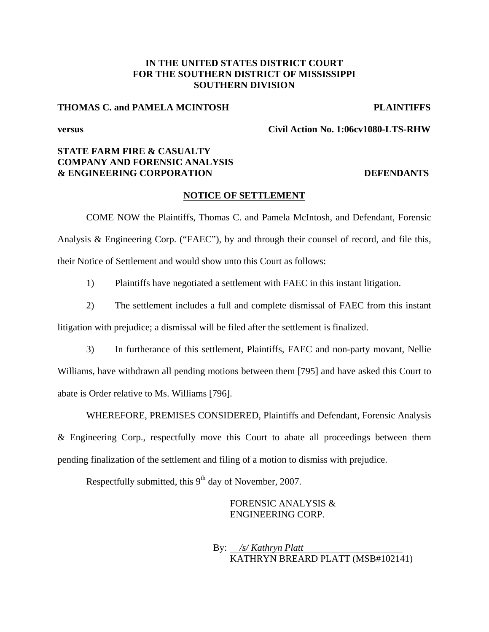## **IN THE UNITED STATES DISTRICT COURT FOR THE SOUTHERN DISTRICT OF MISSISSIPPI SOUTHERN DIVISION**

## **THOMAS C. and PAMELA MCINTOSH PLAINTIFFS**

**versus Civil Action No. 1:06cv1080-LTS-RHW** 

## **STATE FARM FIRE & CASUALTY COMPANY AND FORENSIC ANALYSIS & ENGINEERING CORPORATION DEFENDANTS**

### **NOTICE OF SETTLEMENT**

COME NOW the Plaintiffs, Thomas C. and Pamela McIntosh, and Defendant, Forensic Analysis & Engineering Corp. ("FAEC"), by and through their counsel of record, and file this, their Notice of Settlement and would show unto this Court as follows:

1) Plaintiffs have negotiated a settlement with FAEC in this instant litigation.

2) The settlement includes a full and complete dismissal of FAEC from this instant litigation with prejudice; a dismissal will be filed after the settlement is finalized.

3) In furtherance of this settlement, Plaintiffs, FAEC and non-party movant, Nellie

Williams, have withdrawn all pending motions between them [795] and have asked this Court to abate is Order relative to Ms. Williams [796].

WHEREFORE, PREMISES CONSIDERED, Plaintiffs and Defendant, Forensic Analysis & Engineering Corp., respectfully move this Court to abate all proceedings between them pending finalization of the settlement and filing of a motion to dismiss with prejudice.

Respectfully submitted, this  $9<sup>th</sup>$  day of November, 2007.

## FORENSIC ANALYSIS & ENGINEERING CORP.

 By: */s/ Kathryn Platt*  KATHRYN BREARD PLATT (MSB#102141)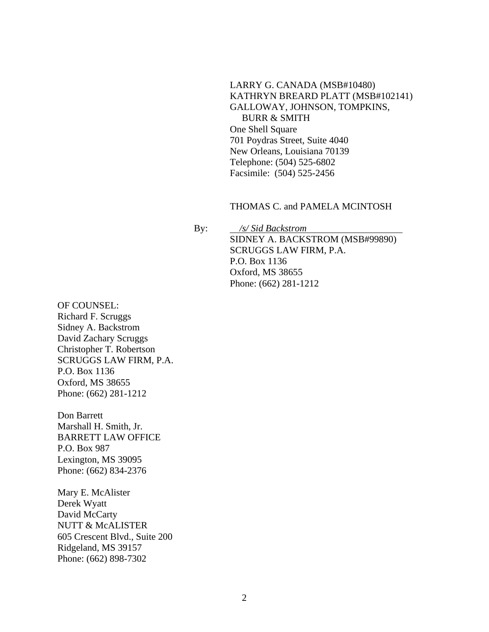# LARRY G. CANADA (MSB#10480) KATHRYN BREARD PLATT (MSB#102141) GALLOWAY, JOHNSON, TOMPKINS,

 BURR & SMITH One Shell Square 701 Poydras Street, Suite 4040 New Orleans, Louisiana 70139 Telephone: (504) 525-6802 Facsimile: (504) 525-2456

## THOMAS C. and PAMELA MCINTOSH

 By: */s/ Sid Backstrom*  SIDNEY A. BACKSTROM (MSB#99890) SCRUGGS LAW FIRM, P.A. P.O. Box 1136 Oxford, MS 38655 Phone: (662) 281-1212

OF COUNSEL: Richard F. Scruggs Sidney A. Backstrom David Zachary Scruggs Christopher T. Robertson SCRUGGS LAW FIRM, P.A. P.O. Box 1136 Oxford, MS 38655 Phone: (662) 281-1212

Don Barrett Marshall H. Smith, Jr. BARRETT LAW OFFICE P.O. Box 987 Lexington, MS 39095 Phone: (662) 834-2376

Mary E. McAlister Derek Wyatt David McCarty NUTT & McALISTER 605 Crescent Blvd., Suite 200 Ridgeland, MS 39157 Phone: (662) 898-7302